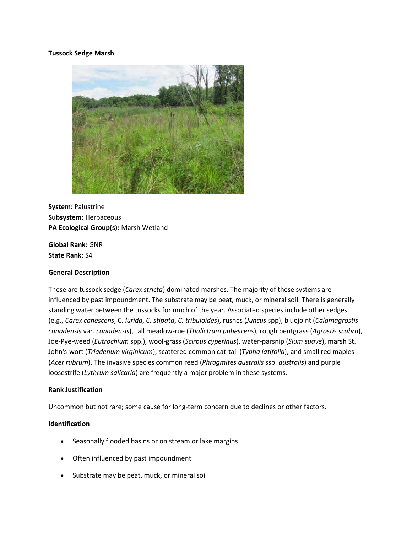# **Tussock Sedge Marsh**



**System:** Palustrine **Subsystem:** Herbaceous **PA Ecological Group(s):** Marsh Wetland

**Global Rank:** GNR **State Rank:** S4

# **General Description**

These are tussock sedge (*Carex stricta*) dominated marshes. The majority of these systems are influenced by past impoundment. The substrate may be peat, muck, or mineral soil. There is generally standing water between the tussocks for much of the year. Associated species include other sedges (e.g., *Carex canescens*, C*. lurida*, *C. stipata*, *C. tribuloides*), rushes (*Juncus* spp), bluejoint (*Calamagrostis canadensis* var*. canadensis*), tall meadow-rue (*Thalictrum pubescens*), rough bentgrass (*Agrostis scabra*), Joe-Pye-weed (*Eutrochium* spp.), wool-grass (*Scirpus cyperinus*), water-parsnip (*Sium suave*), marsh St. John's-wort (*Triadenum virginicum*), scattered common cat-tail (*Typha latifolia*), and small red maples (*Acer rubrum*). The invasive species common reed (*Phragmites australis* ssp. *australis*) and purple loosestrife (*Lythrum salicaria*) are frequently a major problem in these systems.

#### **Rank Justification**

Uncommon but not rare; some cause for long-term concern due to declines or other factors.

# **Identification**

- Seasonally flooded basins or on stream or lake margins
- Often influenced by past impoundment
- Substrate may be peat, muck, or mineral soil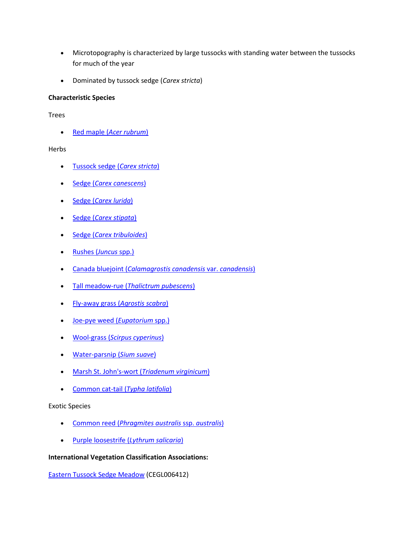- Microtopography is characterized by large tussocks with standing water between the tussocks for much of the year
- Dominated by tussock sedge (*Carex stricta*)

# **Characteristic Species**

Trees

Red maple (*[Acer rubrum](http://www.natureserve.org/explorer/servlet/NatureServe?searchName=Acer+rubrum)*)

# **Herbs**

- [Tussock sedge \(](http://www.natureserve.org/explorer/servlet/NatureServe?searchName=Carex+stricta)*Carex stricta*)
- Sedge (*[Carex canescens](http://www.natureserve.org/explorer/servlet/NatureServe?searchName=Carex+canescens)*)
- Sedge (*[Carex lurida](http://www.natureserve.org/explorer/servlet/NatureServe?searchName=Carex+lurida)*)
- Sedge (*[Carex stipata](http://www.natureserve.org/explorer/servlet/NatureServe?searchName=Carex+stipata)*)
- Sedge (*[Carex tribuloides](http://www.natureserve.org/explorer/servlet/NatureServe?searchName=Carex+tribuloides)*)
- [Rushes \(](http://www.natureserve.org/explorer/servlet/NatureServe?searchSciOrCommonName=juncus)*Juncus* spp.)
- Canada bluejoint (*[Calamagrostis canadensis](http://www.natureserve.org/explorer/servlet/NatureServe?searchName=Calamagrostis+canadensis+var.+canadensis)* var. *canadensis*)
- Tall meadow-rue (*[Thalictrum pubescens](http://www.natureserve.org/explorer/servlet/NatureServe?searchName=Thalictrum+pubescens)*)
- [Fly-away grass \(](http://www.natureserve.org/explorer/servlet/NatureServe?searchName=Agrostis+scabra)*Agrostis scabra*)
- [Joe-pye weed \(](http://www.natureserve.org/explorer/servlet/NatureServe?searchSciOrCommonName=eupatorium)*Eupatorium* spp.)
- Wool-grass (*[Scirpus cyperinus](http://www.natureserve.org/explorer/servlet/NatureServe?searchName=Scirpus+cyperinus)*)
- [Water-parsnip \(](http://www.natureserve.org/explorer/servlet/NatureServe?searchName=Sium+suave)*Sium suave*)
- [Marsh St. John's-wort \(](http://www.natureserve.org/explorer/servlet/NatureServe?searchName=Triadenum+virginicum)*Triadenum virginicum*)
- [Common cat-tail \(](http://www.natureserve.org/explorer/servlet/NatureServe?searchName=Typha+latifolia)*Typha latifolia*)

# Exotic Species

- Common reed (*[Phragmites australis](http://www.natureserve.org/explorer/servlet/NatureServe?searchName=Phragmites+australis+ssp.+australis)* ssp. *australis*)
- [Purple loosestrife \(](http://www.natureserve.org/explorer/servlet/NatureServe?searchName=Lythrum+salicaria)*Lythrum salicaria*)

# **International Vegetation Classification Associations:**

[Eastern Tussock Sedge Meadow](http://www.natureserve.org/explorer/servlet/NatureServe?searchCommunityUid=ELEMENT_GLOBAL.2.690011) (CEGL006412)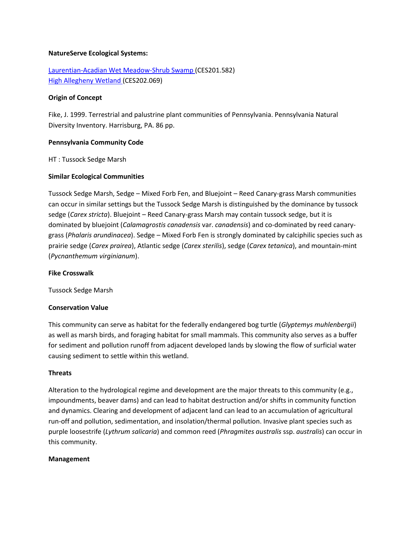### **NatureServe Ecological Systems:**

[Laurentian-Acadian Wet Meadow-Shrub Swamp \(](http://www.natureserve.org/explorer/servlet/NatureServe?searchSystemUid=ELEMENT_GLOBAL.2.731538)CES201.582) [High Allegheny Wetland \(](http://www.natureserve.org/explorer/servlet/NatureServe?searchSystemUid=ELEMENT_GLOBAL.2.800809)CES202.069)

### **Origin of Concept**

Fike, J. 1999. Terrestrial and palustrine plant communities of Pennsylvania. Pennsylvania Natural Diversity Inventory. Harrisburg, PA. 86 pp.

# **Pennsylvania Community Code**

HT : Tussock Sedge Marsh

### **Similar Ecological Communities**

Tussock Sedge Marsh, Sedge – Mixed Forb Fen, and Bluejoint – Reed Canary-grass Marsh communities can occur in similar settings but the Tussock Sedge Marsh is distinguished by the dominance by tussock sedge (*Carex stricta*). Bluejoint – Reed Canary-grass Marsh may contain tussock sedge, but it is dominated by bluejoint (*Calamagrostis canadensis* var. *canadensis*) and co-dominated by reed canarygrass (*Phalaris arundinacea*). Sedge – Mixed Forb Fen is strongly dominated by calciphilic species such as prairie sedge (*Carex prairea*), Atlantic sedge (*Carex sterilis*), sedge (*Carex tetanica*), and mountain-mint (*Pycnanthemum virginianum*).

#### **Fike Crosswalk**

Tussock Sedge Marsh

# **Conservation Value**

This community can serve as habitat for the federally endangered bog turtle (*Glyptemys muhlenbergii*) as well as marsh birds, and foraging habitat for small mammals. This community also serves as a buffer for sediment and pollution runoff from adjacent developed lands by slowing the flow of surficial water causing sediment to settle within this wetland.

#### **Threats**

Alteration to the hydrological regime and development are the major threats to this community (e.g., impoundments, beaver dams) and can lead to habitat destruction and/or shifts in community function and dynamics. Clearing and development of adjacent land can lead to an accumulation of agricultural run-off and pollution, sedimentation, and insolation/thermal pollution. Invasive plant species such as purple loosestrife (*Lythrum salicaria*) and common reed (*Phragmites australis* ssp. *australis*) can occur in this community.

#### **Management**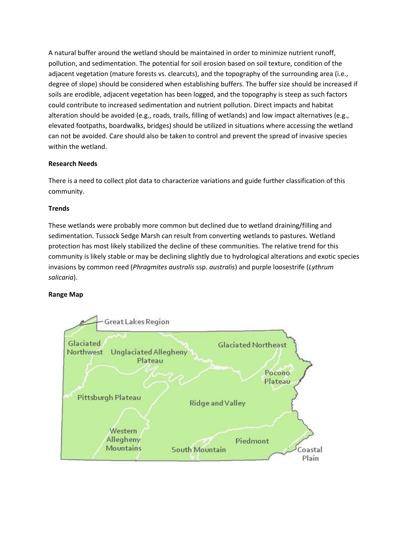A natural buffer around the wetland should be maintained in order to minimize nutrient runoff, pollution, and sedimentation. The potential for soil erosion based on soil texture, condition of the adjacent vegetation (mature forests vs. clearcuts), and the topography of the surrounding area (i.e., degree of slope) should be considered when establishing buffers. The buffer size should be increased if soils are erodible, adjacent vegetation has been logged, and the topography is steep as such factors could contribute to increased sedimentation and nutrient pollution. Direct impacts and habitat alteration should be avoided (e.g., roads, trails, filling of wetlands) and low impact alternatives (e.g., elevated footpaths, boardwalks, bridges) should be utilized in situations where accessing the wetland can not be avoided. Care should also be taken to control and prevent the spread of invasive species within the wetland.

# **Research Needs**

There is a need to collect plot data to characterize variations and guide further classification of this community.

# **Trends**

These wetlands were probably more common but declined due to wetland draining/filling and sedimentation. Tussock Sedge Marsh can result from converting wetlands to pastures. Wetland protection has most likely stabilized the decline of these communities. The relative trend for this community is likely stable or may be declining slightly due to hydrological alterations and exotic species invasions by common reed (*Phragmites australis* ssp. *australis*) and purple loosestrife (*Lythrum salicaria*).

# **Range Map**